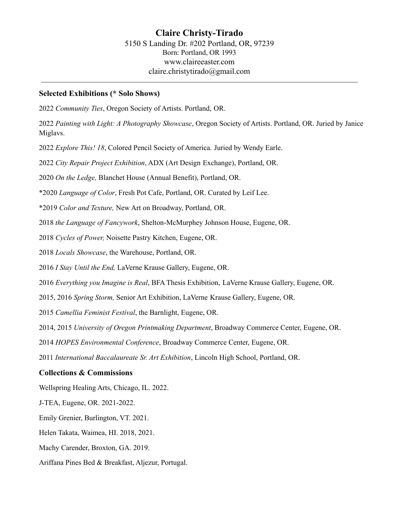### **Selected Exhibitions (\* Solo Shows)**

2022 *Community Ties*, Oregon Society of Artists. Portland, OR.

2022 *Painting with Light: A Photography Showcase*, Oregon Society of Artists. Portland, OR. Juried by Janice Miglavs.

2022 *Explore This! 18*, Colored Pencil Society of America. Juried by Wendy Earle.

2022 *City Repair Project Exhibition*, ADX (Art Design Exchange), Portland, OR.

2020 *On the Ledge,* Blanchet House (Annual Benefit), Portland, OR.

\*2020 *Language of Color*, Fresh Pot Cafe, Portland, OR. Curated by Leif Lee.

\*2019 *Color and Texture,* New Art on Broadway, Portland, OR.

2018 *the Language of Fancywork*, Shelton-McMurphey Johnson House, Eugene, OR.

2018 *Cycles of Power,* Noisette Pastry Kitchen, Eugene, OR.

2018 *Locals Showcase*, the Warehouse, Portland, OR.

2016 *I Stay Until the End,* LaVerne Krause Gallery, Eugene, OR.

2016 *Everything you Imagine is Real*, BFA Thesis Exhibition, LaVerne Krause Gallery, Eugene, OR.

2015, 2016 *Spring Storm,* Senior Art Exhibition, LaVerne Krause Gallery, Eugene, OR.

2015 *Camellia Feminist Festival*, the Barnlight, Eugene, OR.

2014, 2015 *University of Oregon Printmaking Department*, Broadway Commerce Center, Eugene, OR.

2014 *HOPES Environmental Conference*, Broadway Commerce Center, Eugene, OR.

2011 *International Baccalaureate Sr. Art Exhibition*, Lincoln High School, Portland, OR.

## **Collections & Commissions**

Wellspring Healing Arts, Chicago, IL. 2022.

J-TEA, Eugene, OR. 2021-2022.

Emily Grenier, Burlington, VT. 2021.

Helen Takata, Waimea, HI. 2018, 2021.

Machy Carender, Broxton, GA. 2019.

Ariffana Pines Bed & Breakfast, Aljezur, Portugal.